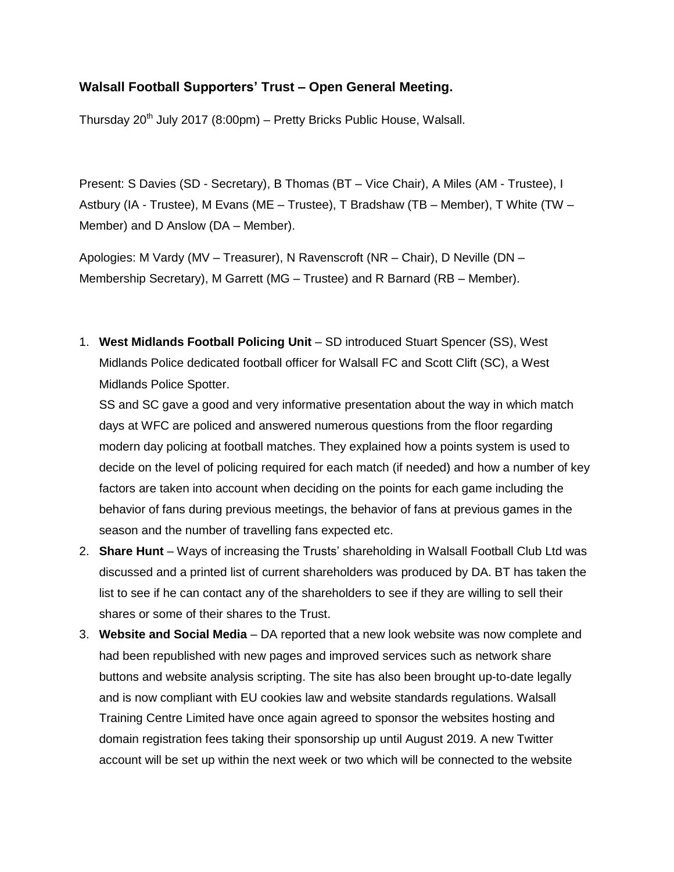## **Walsall Football Supporters' Trust – Open General Meeting.**

Thursday  $20<sup>th</sup>$  July 2017 (8:00pm) – Pretty Bricks Public House, Walsall.

Present: S Davies (SD - Secretary), B Thomas (BT – Vice Chair), A Miles (AM - Trustee), I Astbury (IA - Trustee), M Evans (ME – Trustee), T Bradshaw (TB – Member), T White (TW – Member) and D Anslow (DA – Member).

Apologies: M Vardy (MV – Treasurer), N Ravenscroft (NR – Chair), D Neville (DN – Membership Secretary), M Garrett (MG – Trustee) and R Barnard (RB – Member).

1. **West Midlands Football Policing Unit** – SD introduced Stuart Spencer (SS), West Midlands Police dedicated football officer for Walsall FC and Scott Clift (SC), a West Midlands Police Spotter.

SS and SC gave a good and very informative presentation about the way in which match days at WFC are policed and answered numerous questions from the floor regarding modern day policing at football matches. They explained how a points system is used to decide on the level of policing required for each match (if needed) and how a number of key factors are taken into account when deciding on the points for each game including the behavior of fans during previous meetings, the behavior of fans at previous games in the season and the number of travelling fans expected etc.

- 2. **Share Hunt** Ways of increasing the Trusts' shareholding in Walsall Football Club Ltd was discussed and a printed list of current shareholders was produced by DA. BT has taken the list to see if he can contact any of the shareholders to see if they are willing to sell their shares or some of their shares to the Trust.
- 3. **Website and Social Media** DA reported that a new look website was now complete and had been republished with new pages and improved services such as network share buttons and website analysis scripting. The site has also been brought up-to-date legally and is now compliant with EU cookies law and website standards regulations. Walsall Training Centre Limited have once again agreed to sponsor the websites hosting and domain registration fees taking their sponsorship up until August 2019. A new Twitter account will be set up within the next week or two which will be connected to the website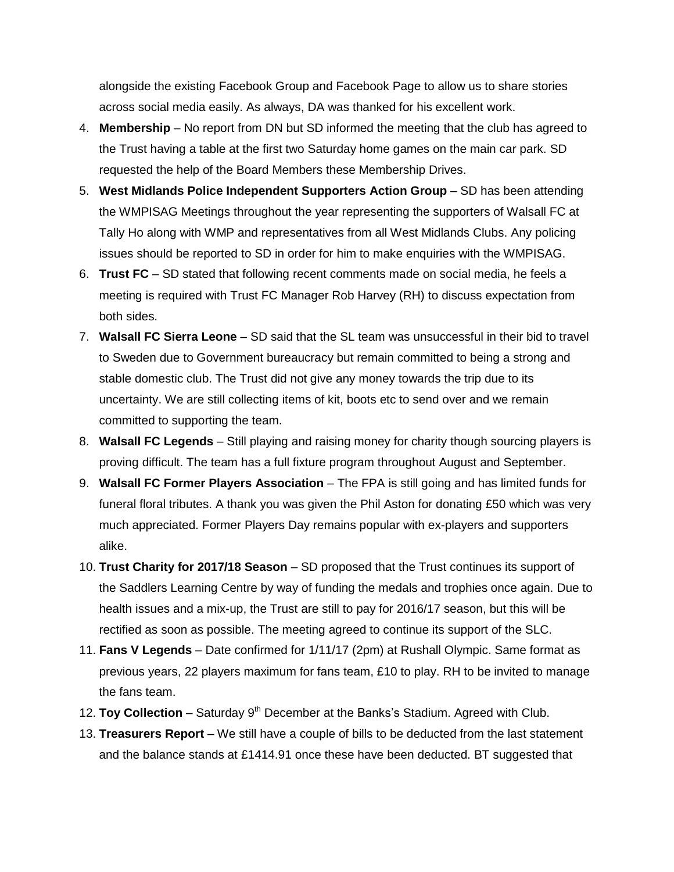alongside the existing Facebook Group and Facebook Page to allow us to share stories across social media easily. As always, DA was thanked for his excellent work.

- 4. **Membership** No report from DN but SD informed the meeting that the club has agreed to the Trust having a table at the first two Saturday home games on the main car park. SD requested the help of the Board Members these Membership Drives.
- 5. **West Midlands Police Independent Supporters Action Group** SD has been attending the WMPISAG Meetings throughout the year representing the supporters of Walsall FC at Tally Ho along with WMP and representatives from all West Midlands Clubs. Any policing issues should be reported to SD in order for him to make enquiries with the WMPISAG.
- 6. **Trust FC** SD stated that following recent comments made on social media, he feels a meeting is required with Trust FC Manager Rob Harvey (RH) to discuss expectation from both sides.
- 7. **Walsall FC Sierra Leone** SD said that the SL team was unsuccessful in their bid to travel to Sweden due to Government bureaucracy but remain committed to being a strong and stable domestic club. The Trust did not give any money towards the trip due to its uncertainty. We are still collecting items of kit, boots etc to send over and we remain committed to supporting the team.
- 8. **Walsall FC Legends** Still playing and raising money for charity though sourcing players is proving difficult. The team has a full fixture program throughout August and September.
- 9. **Walsall FC Former Players Association** The FPA is still going and has limited funds for funeral floral tributes. A thank you was given the Phil Aston for donating £50 which was very much appreciated. Former Players Day remains popular with ex-players and supporters alike.
- 10. **Trust Charity for 2017/18 Season** SD proposed that the Trust continues its support of the Saddlers Learning Centre by way of funding the medals and trophies once again. Due to health issues and a mix-up, the Trust are still to pay for 2016/17 season, but this will be rectified as soon as possible. The meeting agreed to continue its support of the SLC.
- 11. **Fans V Legends** Date confirmed for 1/11/17 (2pm) at Rushall Olympic. Same format as previous years, 22 players maximum for fans team, £10 to play. RH to be invited to manage the fans team.
- 12. Toy Collection Saturday 9<sup>th</sup> December at the Banks's Stadium. Agreed with Club.
- 13. **Treasurers Report** We still have a couple of bills to be deducted from the last statement and the balance stands at £1414.91 once these have been deducted. BT suggested that